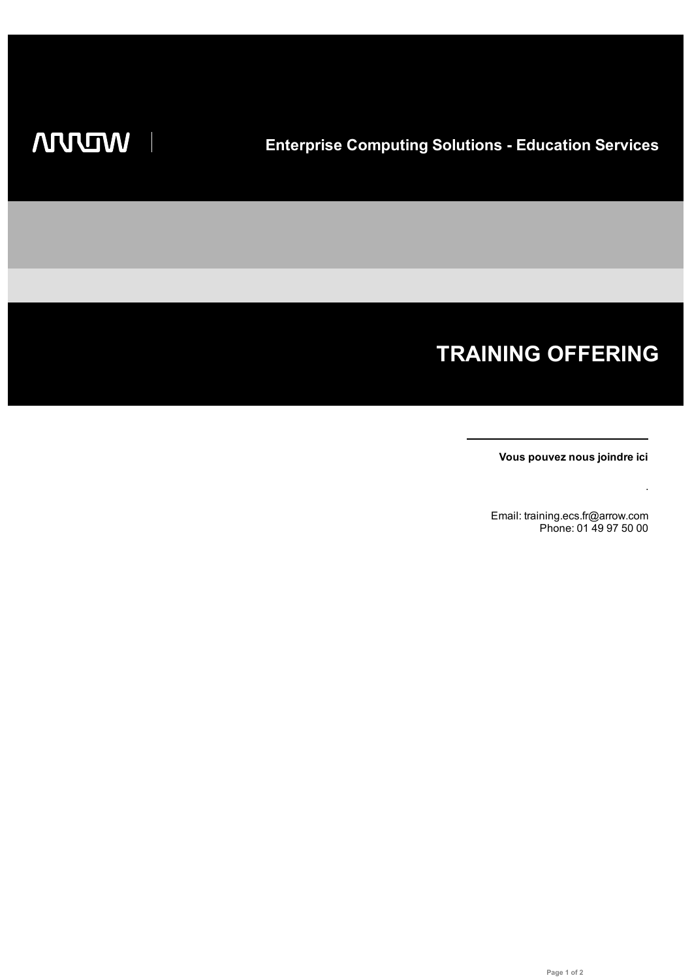# **TRAINING OFFERING**

**Vous pouvez nous joindre ici**

.

Email: training.ecs.fr@arrow.com Phone: 01 49 97 50 00